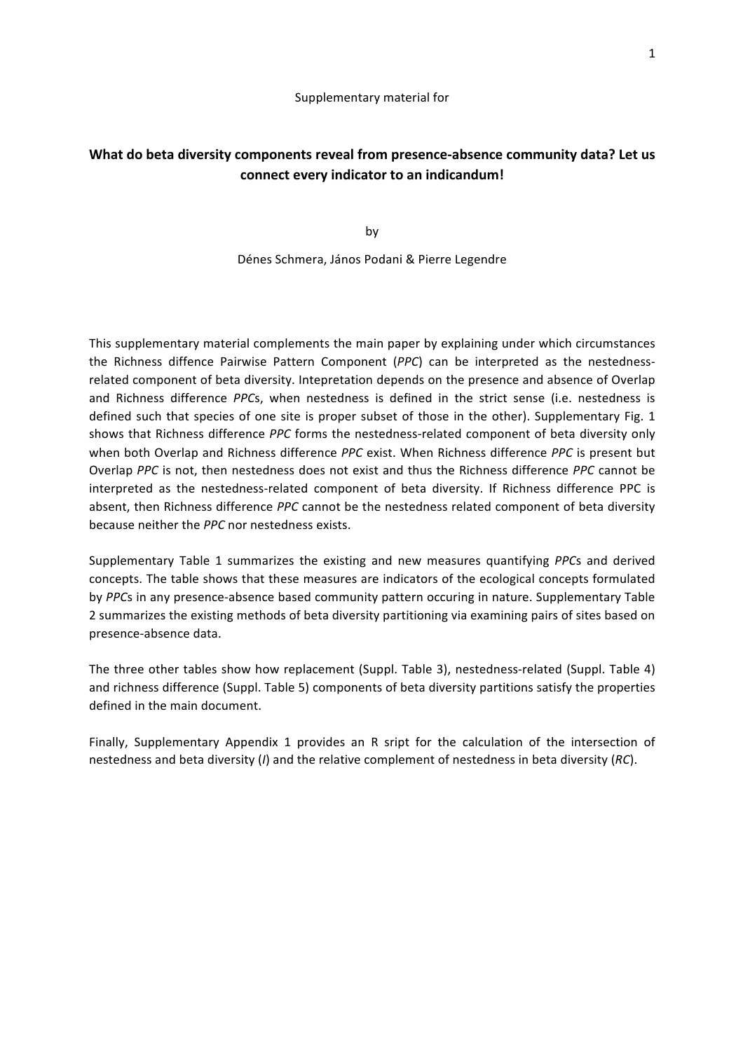## Supplementary material for

## What do beta diversity components reveal from presence-absence community data? Let us **connect every indicator to an indicandum!**

by

## Dénes Schmera, János Podani & Pierre Legendre

This supplementary material complements the main paper by explaining under which circumstances the Richness diffence Pairwise Pattern Component (*PPC*) can be interpreted as the nestednessrelated component of beta diversity. Intepretation depends on the presence and absence of Overlap and Richness difference *PPCs*, when nestedness is defined in the strict sense (i.e. nestedness is defined such that species of one site is proper subset of those in the other). Supplementary Fig. 1 shows that Richness difference *PPC* forms the nestedness-related component of beta diversity only when both Overlap and Richness difference *PPC* exist. When Richness difference *PPC* is present but Overlap *PPC* is not, then nestedness does not exist and thus the Richness difference *PPC* cannot be interpreted as the nestedness-related component of beta diversity. If Richness difference PPC is absent, then Richness difference PPC cannot be the nestedness related component of beta diversity because neither the *PPC* nor nestedness exists.

Supplementary Table 1 summarizes the existing and new measures quantifying *PPC*s and derived concepts. The table shows that these measures are indicators of the ecological concepts formulated by PPCs in any presence-absence based community pattern occuring in nature. Supplementary Table 2 summarizes the existing methods of beta diversity partitioning via examining pairs of sites based on presence-absence data.

The three other tables show how replacement (Suppl. Table 3), nestedness-related (Suppl. Table 4) and richness difference (Suppl. Table 5) components of beta diversity partitions satisfy the properties defined in the main document.

Finally, Supplementary Appendix 1 provides an R sript for the calculation of the intersection of nestedness and beta diversity (*I*) and the relative complement of nestedness in beta diversity (*RC*).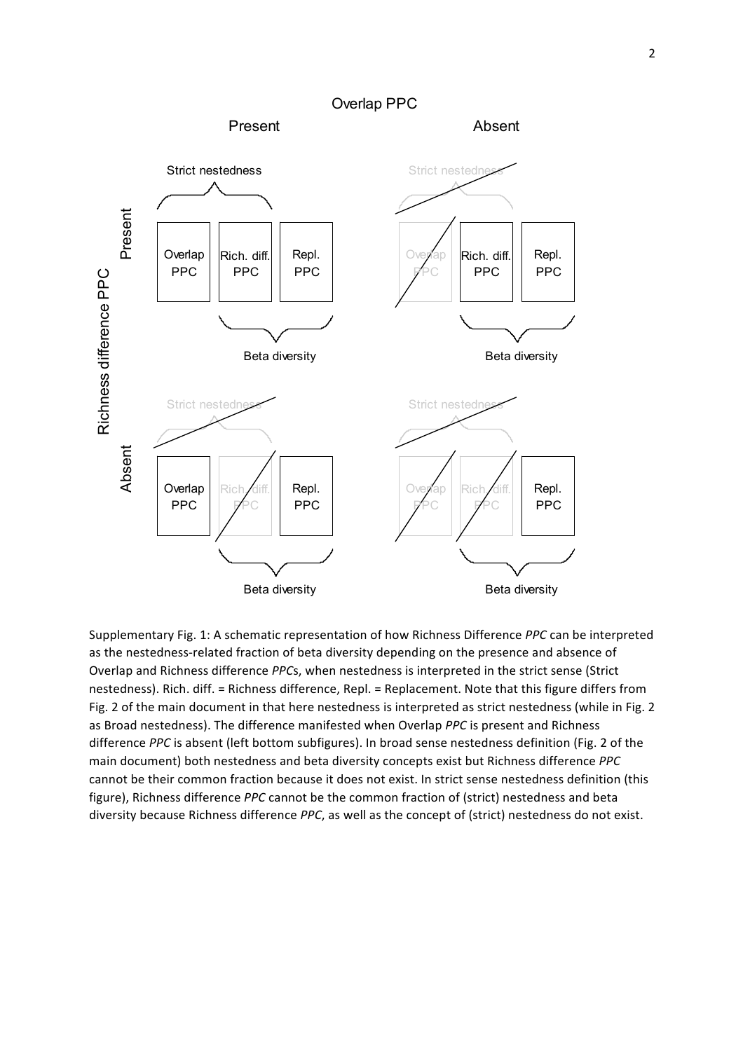

Supplementary Fig. 1: A schematic representation of how Richness Difference *PPC* can be interpreted as the nestedness-related fraction of beta diversity depending on the presence and absence of Overlap and Richness difference *PPCs*, when nestedness is interpreted in the strict sense (Strict nestedness). Rich. diff. = Richness difference, Repl. = Replacement. Note that this figure differs from Fig. 2 of the main document in that here nestedness is interpreted as strict nestedness (while in Fig. 2 as Broad nestedness). The difference manifested when Overlap *PPC* is present and Richness difference PPC is absent (left bottom subfigures). In broad sense nestedness definition (Fig. 2 of the main document) both nestedness and beta diversity concepts exist but Richness difference PPC cannot be their common fraction because it does not exist. In strict sense nestedness definition (this figure), Richness difference PPC cannot be the common fraction of (strict) nestedness and beta diversity because Richness difference *PPC*, as well as the concept of (strict) nestedness do not exist.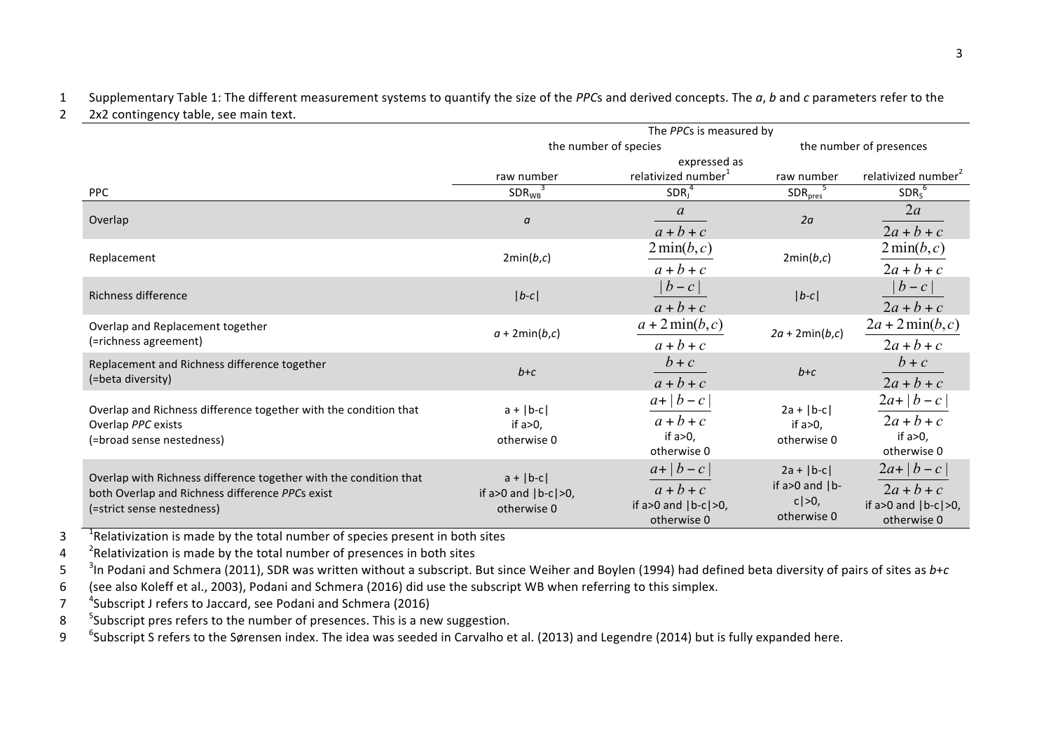1 Supplementary Table 1: The different measurement systems to quantify the size of the *PPC*s and derived concepts. The a, b and c parameters refer to the 2 2x2 contingency table, see main text.

|                                                                   |                          | The PPCs is measured by         |                                    |                                 |
|-------------------------------------------------------------------|--------------------------|---------------------------------|------------------------------------|---------------------------------|
|                                                                   |                          | the number of species           |                                    | the number of presences         |
|                                                                   |                          | expressed as                    |                                    |                                 |
|                                                                   | raw number               | relativized number <sup>1</sup> | raw number                         | relativized number <sup>2</sup> |
| PPC                                                               | $SDR_{WB}^3$             | SDR <sub>1</sub> <sup>4</sup>   | SDR <sub>pres</sub>                | SDR <sub>S</sub> <sup>6</sup>   |
|                                                                   |                          | $\boldsymbol{a}$                | 2a                                 | 2a                              |
| Overlap                                                           | a                        | $a+b+c$                         |                                    | $2a+b+c$                        |
|                                                                   |                          | $2\min(b,c)$                    |                                    | $2\min(b,c)$                    |
| Replacement                                                       | 2min(b,c)                | $a+b+c$                         | 2min(b,c)                          | $2a+b+c$                        |
|                                                                   |                          | $ b-c $                         |                                    | $ b-c $                         |
| Richness difference                                               | $ b-c $                  | $a+b+c$                         | $ b-c $                            | $2a+b+c$                        |
| Overlap and Replacement together                                  |                          | $a + 2\min(b, c)$               |                                    | $2a + 2\min(b, c)$              |
| (=richness agreement)                                             | $a + 2min(b,c)$          | $a+b+c$                         | $2a + 2min(b,c)$                   | $2a+b+c$                        |
| Replacement and Richness difference together                      |                          | $b+c$                           |                                    | $b + c$                         |
| (=beta diversity)                                                 | $b + c$                  | $a+b+c$                         | $b+c$                              | $2a+b+c$                        |
|                                                                   |                          | $a+ b-c $                       |                                    | $2a+ b-c $                      |
| Overlap and Richness difference together with the condition that  | $a +  b-c $              |                                 | $2a +  b-c $                       |                                 |
| Overlap PPC exists                                                | if $a>0$ ,               | $a+b+c$                         | if $a>0$ ,                         | $2a+b+c$                        |
| (=broad sense nestedness)                                         | otherwise 0              | if $a>0$ ,<br>otherwise 0       | otherwise 0                        | if $a>0$ ,<br>otherwise 0       |
|                                                                   |                          | $a+ b-c $                       |                                    | $2a+ b-c $                      |
| Overlap with Richness difference together with the condition that | $a +  b-c $              |                                 | $2a +  b-c $<br>if $a>0$ and $ b-$ |                                 |
| both Overlap and Richness difference PPCs exist                   | if $a>0$ and $ b-c >0$ , | $a+b+c$                         | $c \ge 0$ ,                        | $2a+b+c$                        |
| (=strict sense nestedness)                                        | otherwise 0              | if $a>0$ and $ b-c >0$ ,        | otherwise 0                        | if $a>0$ and $ b-c >0$ ,        |
|                                                                   |                          | otherwise 0                     |                                    | otherwise 0                     |

 $13$  <sup>1</sup> Relativization is made by the total number of species present in both sites

4  $\mathrm{P}$  Relativization is made by the total number of presences in both sites

5 <sup>3</sup>In Podani and Schmera (2011), SDR was written without a subscript. But since Weiher and Boylen (1994) had defined beta diversity of pairs of sites as b+c

6 (see also Koleff et al., 2003), Podani and Schmera (2016) did use the subscript WB when referring to this simplex.

7 <sup>4</sup> Subscript J refers to Jaccard, see Podani and Schmera (2016)

8  $<sup>5</sup>$  Subscript pres refers to the number of presences. This is a new suggestion.</sup>

9 <sup>6</sup> Subscript S refers to the Sørensen index. The idea was seeded in Carvalho et al. (2013) and Legendre (2014) but is fully expanded here.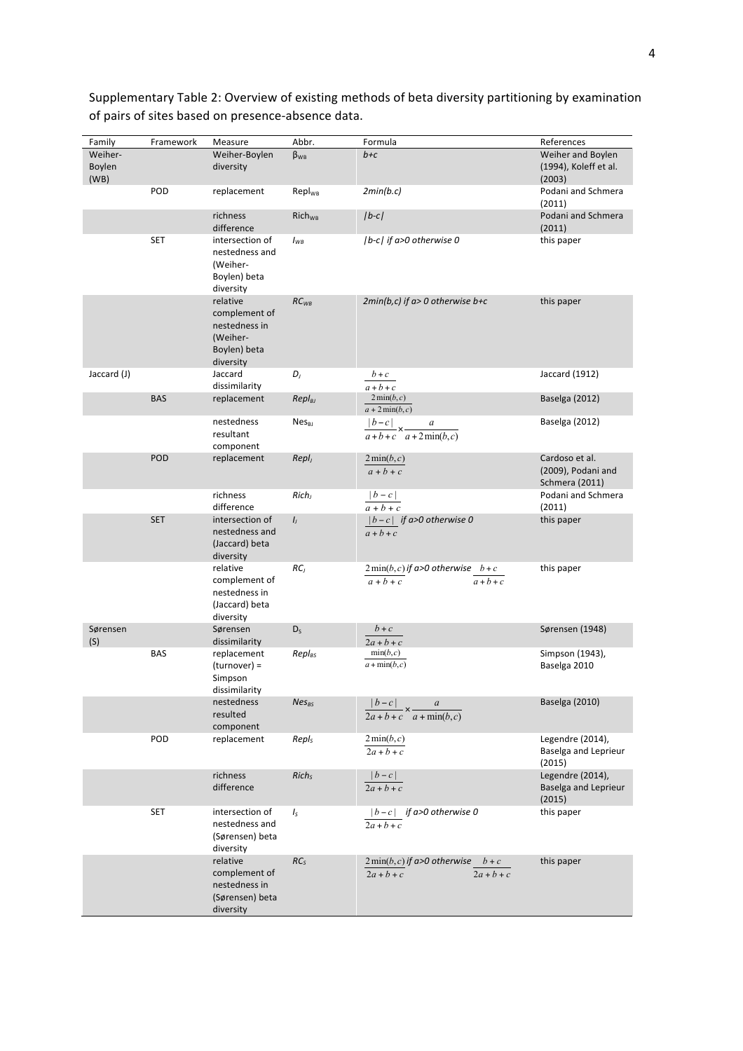| Family          | Framework  | Measure                                                                             | Abbr.              | Formula                                                                | References                                                    |
|-----------------|------------|-------------------------------------------------------------------------------------|--------------------|------------------------------------------------------------------------|---------------------------------------------------------------|
| Weiher-         |            | Weiher-Boylen                                                                       | $\beta_{WB}$       | $b+c$                                                                  | Weiher and Boylen                                             |
| Boylen<br>(WB)  |            | diversity                                                                           |                    |                                                                        | (1994), Koleff et al.<br>(2003)                               |
|                 | POD        | replacement                                                                         | Repl <sub>wB</sub> | 2min(b.c)                                                              | Podani and Schmera<br>(2011)                                  |
|                 |            | richness<br>difference                                                              | Rich <sub>WB</sub> | $ b-c $                                                                | Podani and Schmera<br>(2011)                                  |
|                 | <b>SET</b> | intersection of<br>nestedness and<br>(Weiher-<br>Boylen) beta<br>diversity          | $I_{WB}$           | b-c  if a>0 otherwise 0                                                | this paper                                                    |
|                 |            | relative<br>complement of<br>nestedness in<br>(Weiher-<br>Boylen) beta<br>diversity | $RC_{WB}$          | $2min(b, c)$ if a> 0 otherwise b+c                                     | this paper                                                    |
| Jaccard (J)     |            | Jaccard<br>dissimilarity                                                            | D,                 | $b+c$<br>$a+b+c$                                                       | Jaccard (1912)                                                |
|                 | <b>BAS</b> | replacement                                                                         | Repl <sub>BJ</sub> | $2\min(b,c)$<br>$a + 2\min(b, c)$                                      | Baselga (2012)                                                |
|                 |            | nestedness<br>resultant<br>component                                                | $Nes_{BJ}$         | $\frac{ b-c }{ c }$ x<br>$\boldsymbol{a}$<br>$a+b+c$ $a+2\min(b,c)$    | Baselga (2012)                                                |
|                 | POD        | replacement                                                                         | Repl <sub>i</sub>  | $2\min(b,c)$<br>$a+b+c$                                                | Cardoso et al.<br>(2009), Podani and<br><b>Schmera (2011)</b> |
|                 |            | richness<br>difference                                                              | Rich <sub>J</sub>  | $ b-c $<br>$a + b + c$                                                 | Podani and Schmera<br>(2011)                                  |
|                 | <b>SET</b> | intersection of<br>nestedness and<br>(Jaccard) beta<br>diversity                    | $I_J$              | $ b - c $ if a>0 otherwise 0<br>$a+b+c$                                | this paper                                                    |
|                 |            | relative<br>complement of<br>nestedness in<br>(Jaccard) beta<br>diversity           | RC <sub>J</sub>    | $2\min(b, c)$ if a>0 otherwise $b + c$<br>$a + b + c$<br>$a+b+c$       | this paper                                                    |
| Sørensen<br>(S) |            | Sørensen<br>dissimilarity                                                           | $D_S$              | $b+c$<br>$2a+b+c$                                                      | Sørensen (1948)                                               |
|                 | <b>BAS</b> | replacement<br>(turnover) =<br>Simpson<br>dissimilarity                             | $Repl_{BS}$        | min(b, c)<br>$a + min(b, c)$                                           | Simpson (1943),<br>Baselga 2010                               |
|                 |            | nestedness<br>resulted<br>component                                                 | $Nes_{BS}$         | $ b-c $ x<br>$\boldsymbol{a}$<br>$2a+b+c \quad a+\min(b,c)$            | Baselga (2010)                                                |
|                 | POD        | replacement                                                                         | Repls              | $2\min(b,c)$<br>$2a + b + c$                                           | Legendre (2014),<br>Baselga and Leprieur<br>(2015)            |
|                 |            | richness<br>difference                                                              | Rich <sub>s</sub>  | $ b-c $<br>$2a+b+c$                                                    | Legendre (2014),<br>Baselga and Leprieur<br>(2015)            |
|                 | <b>SET</b> | intersection of<br>nestedness and<br>(Sørensen) beta<br>diversity                   | $I_{\rm S}$        | $ b - c $ if a>0 otherwise 0<br>$2a+b+c$                               | this paper                                                    |
|                 |            | relative<br>complement of<br>nestedness in<br>(Sørensen) beta<br>diversity          | RC <sub>S</sub>    | $2\min(b, c)$ if a>0 otherwise $b + c$<br>$2a + b + c$<br>$2a + b + c$ | this paper                                                    |

Supplementary Table 2: Overview of existing methods of beta diversity partitioning by examination of pairs of sites based on presence-absence data.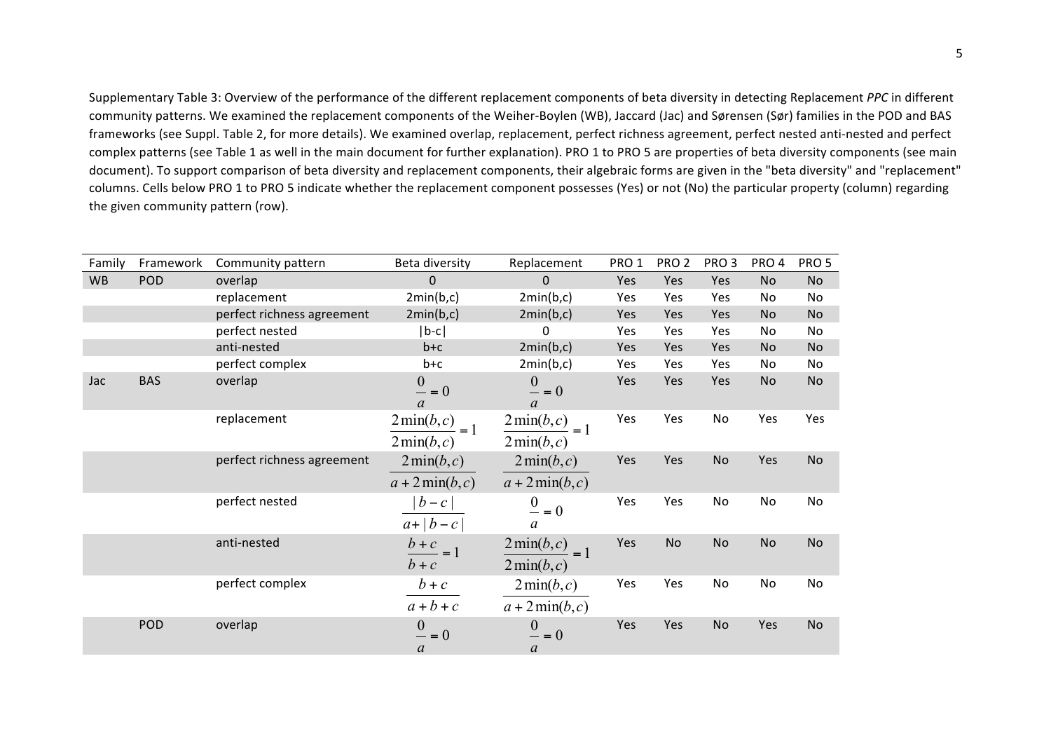Supplementary Table 3: Overview of the performance of the different replacement components of beta diversity in detecting Replacement *PPC* in different community patterns. We examined the replacement components of the Weiher-Boylen (WB), Jaccard (Jac) and Sørensen (Sør) families in the POD and BAS frameworks (see Suppl. Table 2, for more details). We examined overlap, replacement, perfect richness agreement, perfect nested anti-nested and perfect complex patterns (see Table 1 as well in the main document for further explanation). PRO 1 to PRO 5 are properties of beta diversity components (see main document). To support comparison of beta diversity and replacement components, their algebraic forms are given in the "beta diversity" and "replacement" columns. Cells below PRO 1 to PRO 5 indicate whether the replacement component possesses (Yes) or not (No) the particular property (column) regarding the given community pattern (row).

| Family    | Framework  | Community pattern          | Beta diversity                                            | Replacement                                | PRO <sub>1</sub> | PRO <sub>2</sub> | PRO <sub>3</sub> | PRO 4          | PRO <sub>5</sub> |
|-----------|------------|----------------------------|-----------------------------------------------------------|--------------------------------------------|------------------|------------------|------------------|----------------|------------------|
| <b>WB</b> | <b>POD</b> | overlap                    | $\mathbf 0$                                               | $\Omega$                                   | Yes              | Yes              | Yes              | No             | No               |
|           |            | replacement                | 2min(b,c)                                                 | 2min(b,c)                                  | Yes              | Yes              | Yes              | N <sub>o</sub> | No               |
|           |            | perfect richness agreement | 2min(b,c)                                                 | 2min(b,c)                                  | Yes              | Yes              | Yes              | No             | No               |
|           |            | perfect nested             | $ b-c $                                                   | 0                                          | Yes              | Yes              | <b>Yes</b>       | No             | No.              |
|           |            | anti-nested                | $b+c$                                                     | 2min(b,c)                                  | Yes              | <b>Yes</b>       | Yes              | No             | No               |
|           |            | perfect complex            | $b+c$                                                     | 2min(b,c)                                  | Yes              | Yes              | Yes              | No             | No               |
| Jac       | <b>BAS</b> | overlap                    | $\boldsymbol{0}$<br>$- = 0$<br>$\mathfrak a$              | $\mathbf{0}$<br>$- = 0$<br>$\mathfrak{a}$  | Yes              | Yes              | Yes              | No             | No               |
|           |            | replacement                | $2\min(b,c)$<br>$=1$<br>$2\min(b,c)$                      | $2\min(b,c)$<br>$=1$<br>$2\min(b,c)$       | Yes              | Yes              | No               | Yes            | Yes              |
|           |            | perfect richness agreement | $2\min(b,c)$<br>$a + 2\min(b, c)$                         | $2\min(b,c)$<br>$a + 2\min(b, c)$          | Yes              | Yes              | No               | Yes            | No               |
|           |            | perfect nested             | $ b-c $<br>$a+ b-c $                                      | $\frac{0}{-} = 0$<br>$\mathfrak a$         | Yes              | Yes              | No               | No             | No               |
|           |            | anti-nested                | $\frac{b+c}{c} = 1$<br>$b+c$                              | $2\min(b,c) = 1$<br>$2\min(b,c)$           | Yes              | No               | No               | No             | <b>No</b>        |
|           |            | perfect complex            | $b+c$<br>$a+b+c$                                          | $2\min(b,c)$<br>$a + 2\min(b, c)$          | Yes              | Yes              | No               | No             | No               |
|           | POD        | overlap                    | $\boldsymbol{0}$<br>$\frac{6}{x} = 0$<br>$\boldsymbol{a}$ | $\overline{0}$<br>$- = 0$<br>$\mathfrak a$ | Yes              | Yes              | <b>No</b>        | Yes            | <b>No</b>        |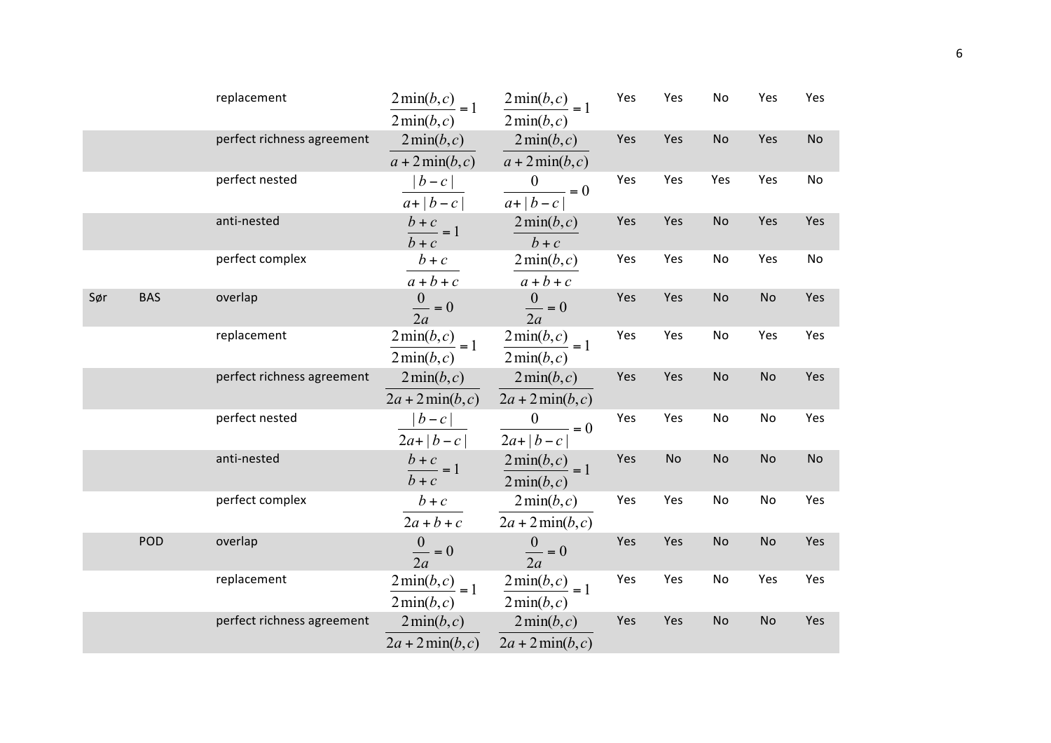|     |            | replacement                | $2\min(b, c) = 1$                          | $2\min(b, c) = 1$                                  | Yes | Yes       | No        | Yes       | Yes       |
|-----|------------|----------------------------|--------------------------------------------|----------------------------------------------------|-----|-----------|-----------|-----------|-----------|
|     |            |                            | $2\min(b,c)$                               | $2\min(b,c)$                                       |     |           |           |           |           |
|     |            | perfect richness agreement | $2\min(b,c)$                               | $2\min(b,c)$                                       | Yes | Yes       | <b>No</b> | Yes       | <b>No</b> |
|     |            |                            | $a + 2\min(b, c)$                          | $a + 2\min(b, c)$                                  |     |           |           |           |           |
|     |            | perfect nested             | $ b-c $                                    | $\frac{0}{\sqrt{1-\frac{1}{x}}}=0$                 | Yes | Yes       | Yes       | Yes       | No        |
|     |            |                            | $a+ b-c $                                  | $a+ b-c $                                          |     |           |           |           |           |
|     |            | anti-nested                | $\frac{b+c}{b+c}=1$                        | $2\min(b,c)$<br>$b+c$                              | Yes | Yes       | <b>No</b> | Yes       | Yes       |
|     |            | perfect complex            | $b+c$<br>$a+b+c$                           | $2\min(b,c)$<br>$a+b+c$                            | Yes | Yes       | No        | Yes       | No        |
| Sør | <b>BAS</b> | overlap                    | $\frac{0}{2a} = 0$                         | $\frac{0}{2a} = 0$                                 | Yes | Yes       | <b>No</b> | <b>No</b> | Yes       |
|     |            | replacement                | $\frac{2\min(b,c)}{b} = 1$<br>$2\min(b,c)$ | $\frac{2\min(b,c)}{b} = 1$<br>$2\min(b,c)$         | Yes | Yes       | No        | Yes       | Yes       |
|     |            | perfect richness agreement | $2\min(b,c)$<br>$2a + 2\min(b, c)$         | $2\min(b,c)$<br>$2a + 2\min(b, c)$                 | Yes | Yes       | <b>No</b> | <b>No</b> | Yes       |
|     |            | perfect nested             | $ b-c $<br>$2a+ b-c $                      | $\frac{0}{\sqrt{1-\frac{1}{2}}} = 0$<br>$2a+ b-c $ | Yes | Yes       | No        | No        | Yes       |
|     |            | anti-nested                | $\frac{b+c}{c} = 1$<br>$b+c$               | $\frac{2\min(b,c)}{2} = 1$<br>$2\min(b,c)$         | Yes | <b>No</b> | <b>No</b> | No        | No        |
|     |            | perfect complex            | $b+c$<br>$2a+b+c$                          | $2\min(b,c)$<br>$2a + 2\min(b, c)$                 | Yes | Yes       | No        | No        | Yes       |
|     | POD        | overlap                    | $\frac{0}{2a} = 0$                         | $\frac{0}{2a} = 0$                                 | Yes | Yes       | <b>No</b> | <b>No</b> | Yes       |
|     |            | replacement                | $\frac{2\min(b,c)}{2} = 1$<br>$2\min(b,c)$ | $\frac{2\min(b,c)}{2} = 1$<br>$2\min(b,c)$         | Yes | Yes       | No        | Yes       | Yes       |
|     |            | perfect richness agreement | $2\min(b,c)$<br>$2a + 2\min(b, c)$         | $2\min(b,c)$<br>$2a + 2\min(b, c)$                 | Yes | Yes       | <b>No</b> | <b>No</b> | Yes       |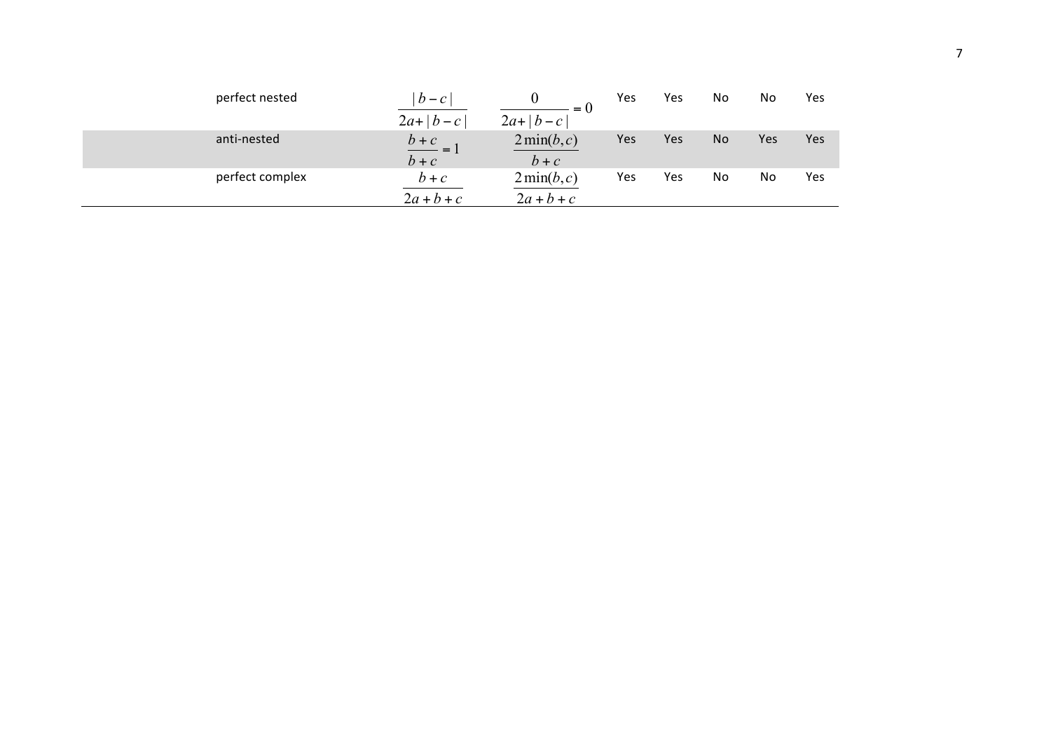| perfect nested  | $ b - c $           | $= 0$        | Yes | Yes | No             | No  | Yes |
|-----------------|---------------------|--------------|-----|-----|----------------|-----|-----|
|                 | $2a+ b-c $          | $2a+ b-c $   |     |     |                |     |     |
| anti-nested     | $\frac{b+c}{c} = 1$ | $2\min(b,c)$ | Yes | Yes | No             | Yes | Yes |
|                 | $b+c$               | $b+c$        |     |     |                |     |     |
| perfect complex | $b+c$               | $2\min(b,c)$ | Yes | Yes | N <sub>o</sub> | No  | Yes |
|                 | $2a+b+c$            | $2a+b+c$     |     |     |                |     |     |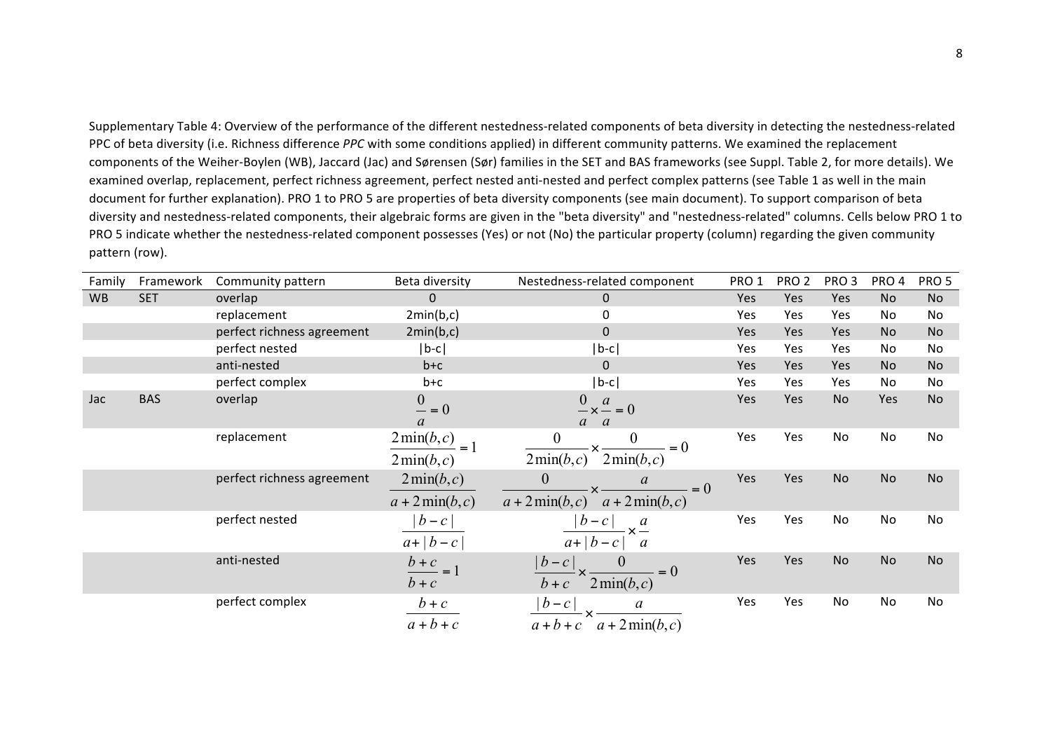Supplementary Table 4: Overview of the performance of the different nestedness-related components of beta diversity in detecting the nestedness-related PPC of beta diversity (i.e. Richness difference *PPC* with some conditions applied) in different community patterns. We examined the replacement components of the Weiher-Boylen (WB), Jaccard (Jac) and Sørensen (Sør) families in the SET and BAS frameworks (see Suppl. Table 2, for more details). We examined overlap, replacement, perfect richness agreement, perfect nested anti-nested and perfect complex patterns (see Table 1 as well in the main document for further explanation). PRO 1 to PRO 5 are properties of beta diversity components (see main document). To support comparison of beta diversity and nestedness-related components, their algebraic forms are given in the "beta diversity" and "nestedness-related" columns. Cells below PRO 1 to PRO 5 indicate whether the nestedness-related component possesses (Yes) or not (No) the particular property (column) regarding the given community pattern (row).

| Family    | Framework  | Community pattern          | Beta diversity                                          | Nestedness-related component<br>PRO <sub>2</sub><br>PRO <sub>3</sub><br>PRO 1 |     | PRO 4 | PRO <sub>5</sub> |     |           |
|-----------|------------|----------------------------|---------------------------------------------------------|-------------------------------------------------------------------------------|-----|-------|------------------|-----|-----------|
| <b>WB</b> | <b>SET</b> | overlap                    | $\Omega$                                                | $\mathbf{0}$                                                                  | Yes | Yes   | Yes              | No. | <b>No</b> |
|           |            | replacement                | 2min(b,c)                                               | $\mathbf 0$                                                                   | Yes | Yes   | Yes              | No  | No        |
|           |            | perfect richness agreement | 2min(b,c)                                               | $\pmb{0}$                                                                     | Yes | Yes   | Yes              | No  | No        |
|           |            | perfect nested             | $ b-c $                                                 | $ b-c $                                                                       | Yes | Yes   | Yes              | No  | No        |
|           |            | anti-nested                | $b+c$                                                   | $\Omega$                                                                      | Yes | Yes   | Yes              | No  | No        |
|           |            | perfect complex            | b+c                                                     | $ b-c $                                                                       | Yes | Yes   | Yes              | No  | No        |
| Jac       | <b>BAS</b> | overlap                    | $\overline{0}$<br>$- = 0$<br>$\mathfrak a$              | $\theta$<br>$\frac{0}{-x} - 0$<br>$\alpha$<br>$\mathfrak a$                   | Yes | Yes   | No               | Yes | No        |
|           |            | replacement                | $\frac{2 \min(b, c)}{2 \min(b, c)} = 1$<br>$2\min(b,c)$ | $\theta$<br>$\theta$<br>$= 0$<br>$2\min(b,c)$<br>$2\min(b,c)$                 | Yes | Yes   | No               | No  | No        |
|           |            | perfect richness agreement | $2\min(b,c)$<br>$a + 2\min(b, c)$                       | $\theta$<br>$= 0$<br>$a + 2\min(b, c)$ $a + 2\min(b, c)$                      | Yes | Yes   | <b>No</b>        | No  | No        |
|           |            | perfect nested             | $ b-c $<br>$a+ b-c $                                    | $ b-c $<br>$\times \frac{a}{a}$<br>$a+ b-c $ a                                | Yes | Yes   | No               | No  | No        |
|           |            | anti-nested                | $\frac{b+c}{c} = 1$<br>$b+c$                            | $ b-c $<br>$= 0$<br>$2\min(b,c)$<br>$b+c$                                     | Yes | Yes   | <b>No</b>        | No  | No        |
|           |            | perfect complex            | $b+c$<br>$a+b+c$                                        | $ b-c $<br>a<br>$a+b+c \quad a+2\min(b,c)$                                    | Yes | Yes   | No               | No  | No        |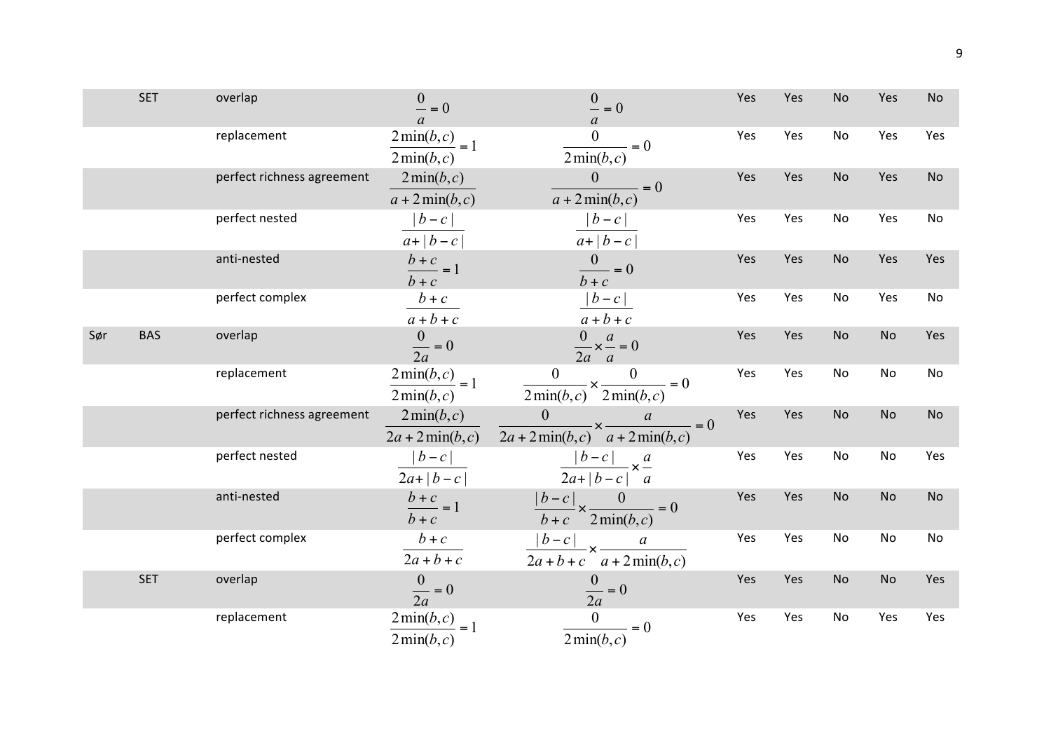|     | <b>SET</b> | overlap                    | $\frac{0}{-} = 0$<br>$\mathfrak{a}$                 | $\frac{0}{-} = 0$<br>$\overline{a}$                                                                | Yes | Yes | No        | Yes       | <b>No</b> |
|-----|------------|----------------------------|-----------------------------------------------------|----------------------------------------------------------------------------------------------------|-----|-----|-----------|-----------|-----------|
|     |            | replacement                | $\frac{2\min(b,c)}{2\min(b,c)} = 1$<br>$2\min(b,c)$ | $\mathbf{0}$<br>$\frac{0}{\ }=0$<br>2min(b, c)                                                     | Yes | Yes | No        | Yes       | Yes       |
|     |            | perfect richness agreement | $2\min(b,c)$<br>$a + 2\min(b, c)$                   | $\mathbf{0}$<br>$= 0$<br>$a + 2\min(b, c)$                                                         | Yes | Yes | No        | Yes       | No        |
|     |            | perfect nested             | $ b-c $<br>$a+ b-c $                                | $ b-c $<br>$a+ b-c $                                                                               | Yes | Yes | No        | Yes       | No        |
|     |            | anti-nested                | $\frac{b+c}{b+c}=1$                                 | $\frac{0}{b+c} = 0$                                                                                | Yes | Yes | No        | Yes       | Yes       |
|     |            | perfect complex            | $b+c$<br>$a+b+c$                                    | $ b-c $<br>$a+b+c$                                                                                 | Yes | Yes | No        | Yes       | No        |
| Sør | <b>BAS</b> | overlap                    | $\frac{0}{2a} = 0$                                  | $\frac{0}{2a} \times \frac{a}{a} = 0$                                                              | Yes | Yes | <b>No</b> | <b>No</b> | Yes       |
|     |            | replacement                | $\frac{2\min(b,c)}{2} = 1$<br>$2\min(b,c)$          | $\overline{0}$<br>$-x \frac{v}{2}$<br>$\equiv 0$<br>$2\min(b,c)$ $2\min(b,c)$                      | Yes | Yes | No        | No        | No        |
|     |            | perfect richness agreement | $2\min(b,c)$<br>$2a + 2\min(b, c)$                  | $\boldsymbol{0}$<br>$\frac{a}{1}$ x $\frac{a}{1}$<br>$= 0$<br>$2a + 2\min(b, c)$ $a + 2\min(b, c)$ | Yes | Yes | <b>No</b> | No        | <b>No</b> |
|     |            | perfect nested             | $ b-c $<br>$2a+ b-c $                               | $\frac{ b-c }{2a+ b-c } \times \frac{a}{a}$                                                        | Yes | Yes | No        | No        | Yes       |
|     |            | anti-nested                | $\frac{b+c}{c} = 1$<br>$b + c$                      | $\frac{ b-c }{\times} \times \frac{0}{\qquad} = 0$<br>$b+c$ 2 min $(b, c)$                         | Yes | Yes | <b>No</b> | <b>No</b> | <b>No</b> |
|     |            | perfect complex            | $b+c$<br>$2a+b+c$                                   | $\frac{ b-c }{ x-x }$<br>$2a + b + c$ $a + 2min(b, c)$                                             | Yes | Yes | No        | No        | No        |
|     | <b>SET</b> | overlap                    | $\frac{0}{2a} = 0$                                  | $\frac{0}{2a} = 0$                                                                                 | Yes | Yes | <b>No</b> | <b>No</b> | Yes       |
|     |            | replacement                | $\frac{2\min(b,c)}{2} = 1$<br>$2\min(b,c)$          | $\overline{0}$<br>$= 0$<br>$\overline{2\min(b,c)}$                                                 | Yes | Yes | No        | Yes       | Yes       |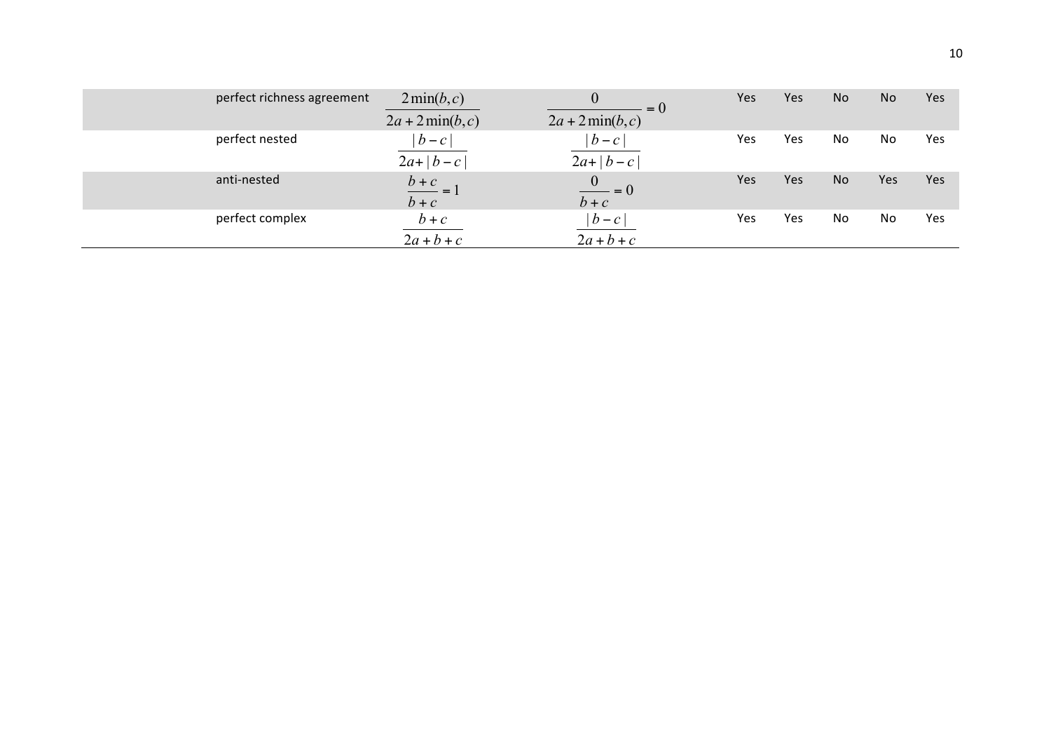| perfect richness agreement | $2\min(b,c)$<br>$2a + 2\min(b, c)$ | $= 0$<br>$2a + 2\min(b, c)$        | Yes | Yes | No        | No  | Yes |
|----------------------------|------------------------------------|------------------------------------|-----|-----|-----------|-----|-----|
| perfect nested             | $ b-c $<br>$2a+ b-c $              | $ b-c $<br>$2a+ b-c $              | Yes | Yes | No        | No  | Yes |
| anti-nested                | $\frac{b+c}{c} = 1$<br>$b+c$       | $\boldsymbol{0}$<br>$= 0$<br>$b+c$ | Yes | Yes | <b>No</b> | Yes | Yes |
| perfect complex            | $b+c$                              | $ b-c $                            | Yes | Yes | No        | No  | Yes |
|                            | $2a+b+c$                           | $2a+b+c$                           |     |     |           |     |     |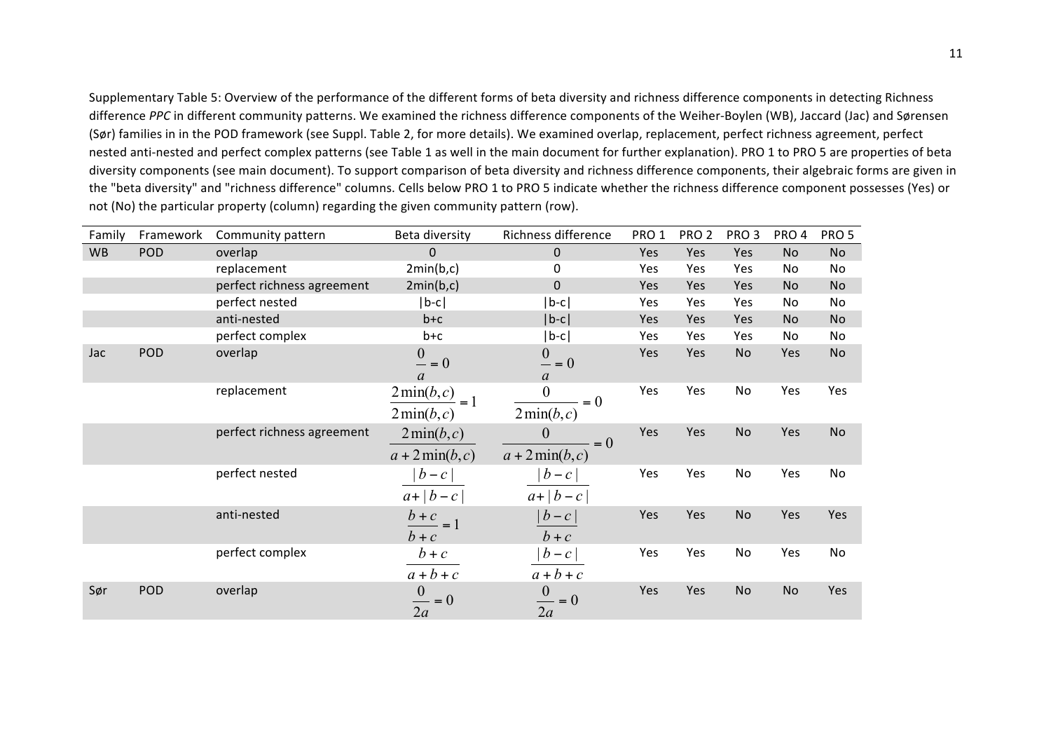Supplementary Table 5: Overview of the performance of the different forms of beta diversity and richness difference components in detecting Richness difference *PPC* in different community patterns. We examined the richness difference components of the Weiher-Boylen (WB), Jaccard (Jac) and Sørensen (Sør) families in in the POD framework (see Suppl. Table 2, for more details). We examined overlap, replacement, perfect richness agreement, perfect nested anti-nested and perfect complex patterns (see Table 1 as well in the main document for further explanation). PRO 1 to PRO 5 are properties of beta diversity components (see main document). To support comparison of beta diversity and richness difference components, their algebraic forms are given in the "beta diversity" and "richness difference" columns. Cells below PRO 1 to PRO 5 indicate whether the richness difference component possesses (Yes) or not (No) the particular property (column) regarding the given community pattern (row).

| Family    | Framework  | Community pattern          | Beta diversity                       | Richness difference                          | PRO <sub>1</sub> | PRO <sub>2</sub> | PRO <sub>3</sub> | PRO 4     | PRO <sub>5</sub> |
|-----------|------------|----------------------------|--------------------------------------|----------------------------------------------|------------------|------------------|------------------|-----------|------------------|
| <b>WB</b> | <b>POD</b> | overlap                    | $\Omega$                             | $\mathbf 0$                                  | Yes              | Yes              | Yes              | <b>No</b> | No               |
|           |            | replacement                | 2min(b,c)                            | 0                                            | Yes              | Yes              | Yes              | No        | No               |
|           |            | perfect richness agreement | 2min(b,c)                            | $\mathbf 0$                                  | Yes              | Yes              | Yes              | No        | No               |
|           |            | perfect nested             | $ b-c $                              | $ b-c $                                      | Yes              | Yes              | Yes              | No        | No.              |
|           |            | anti-nested                | $b+c$                                | $ b-c $                                      | Yes              | Yes              | Yes              | No        | No               |
|           |            | perfect complex            | $b + c$                              | $ b-c $                                      | Yes              | Yes              | Yes              | No        | No               |
| Jac       | <b>POD</b> | overlap                    | $\frac{0}{-} = 0$<br>$\mathfrak a$   | $\boldsymbol{0}$<br>$- = 0$<br>$\mathfrak a$ | Yes              | Yes              | <b>No</b>        | Yes       | No               |
|           |            | replacement                | $2\min(b,c)$<br>$=1$<br>$2\min(b,c)$ | $\theta$<br>$= 0$<br>$2\min(b,c)$            | Yes              | Yes              | No               | Yes       | Yes              |
|           |            | perfect richness agreement | $2\min(b,c)$<br>$a + 2\min(b, c)$    | $\overline{0}$<br>$= 0$<br>$a + 2\min(b, c)$ | Yes              | Yes              | <b>No</b>        | Yes       | No               |
|           |            | perfect nested             | $ b-c $<br>$a+ b-c $                 | $b-c$<br>$a+ b-c $                           | Yes              | Yes              | No               | Yes       | No               |
|           |            | anti-nested                | $\frac{b+c}{c} = 1$<br>$b + c$       | $ b-c $<br>$b+c$                             | Yes              | Yes              | <b>No</b>        | Yes       | Yes              |
|           |            | perfect complex            | $b+c$<br>$a+b+c$                     | $ b-c $<br>$a+b+c$                           | Yes              | Yes              | No               | Yes       | No               |
| Sør       | POD        | overlap                    | $\frac{0}{2a} = 0$                   | $\boldsymbol{0}$<br>$\frac{0}{2a} = 0$       | Yes              | Yes              | No               | No        | Yes              |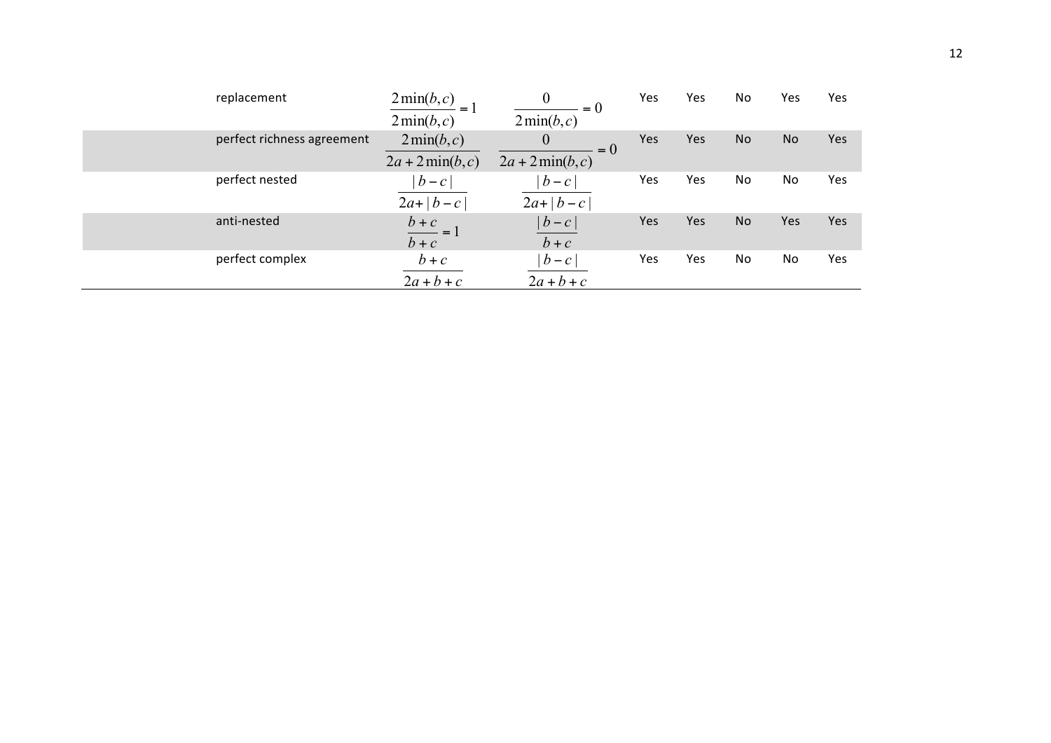| replacement                | $2\min(b,c)$<br>$2\min(b,c)$       | 0<br>$= 0$<br>$2\min(b,c)$                      | Yes | Yes | No | Yes | Yes |
|----------------------------|------------------------------------|-------------------------------------------------|-----|-----|----|-----|-----|
| perfect richness agreement | $2\min(b,c)$<br>$2a + 2\min(b, c)$ | $\boldsymbol{0}$<br>$= 0$<br>$2a + 2\min(b, c)$ | Yes | Yes | No | No  | Yes |
| perfect nested             | $ b-c $<br>$2a+ b-c $              | $ b-c $<br>$2a+ b-c $                           | Yes | Yes | No | No  | Yes |
| anti-nested                | $\frac{b+c}{c} = 1$<br>$b + c$     | $ b-c $<br>$b+c$                                | Yes | Yes | No | Yes | Yes |
| perfect complex            | $b+c$<br>$2a+b+c$                  | $ b-c $<br>$2a+b+c$                             | Yes | Yes | No | No  | Yes |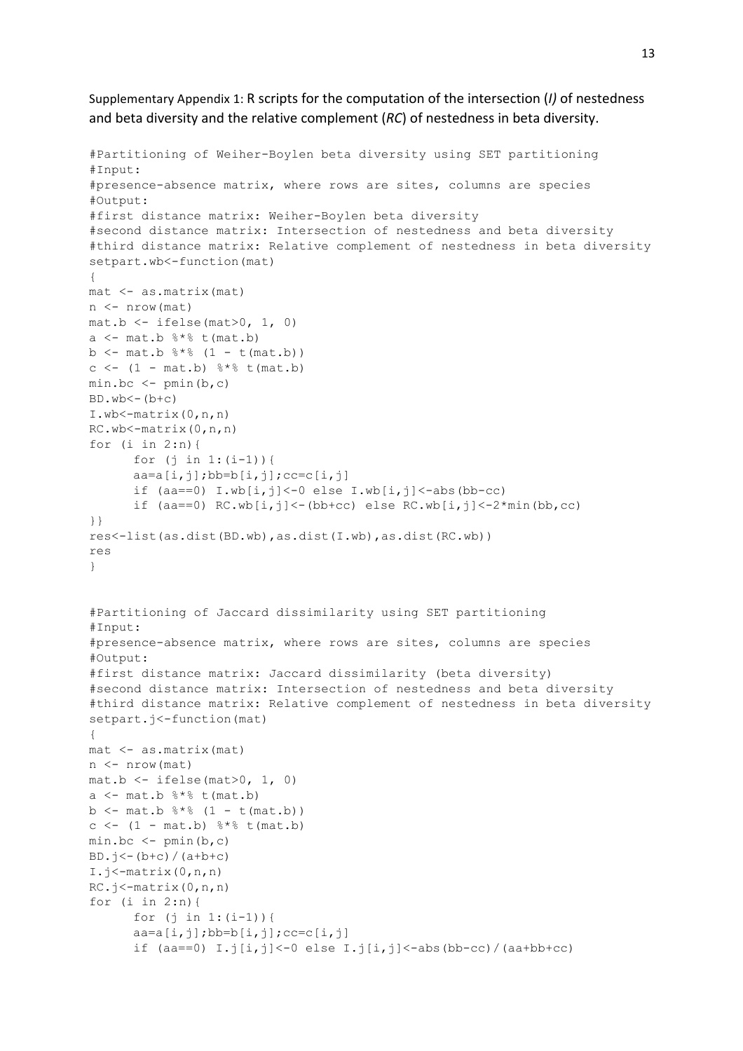Supplementary Appendix 1: R scripts for the computation of the intersection (*I*) of nestedness and beta diversity and the relative complement (*RC*) of nestedness in beta diversity.

```
#Partitioning of Weiher-Boylen beta diversity using SET partitioning
#Input:
#presence-absence matrix, where rows are sites, columns are species
#Output:
#first distance matrix: Weiher-Boylen beta diversity
#second distance matrix: Intersection of nestedness and beta diversity
#third distance matrix: Relative complement of nestedness in beta diversity
setpart.wb<-function(mat)
{
mat <- as.matrix(mat)
n <- nrow(mat)
mat.b \le ifelse(mat>0, 1, 0)
a \leq mat.b * * t(mat.b)
b \le - mat.b \frac{1}{6} + \frac{1}{6} (1 - t(mat.b))
c \le - (1 - mat.b) 8*8 t (mat.b)min.bc \le - pmin(b,c)BD.wb \leftarrow (b+c)I.wb<-matrix(0,n,n)
RC.wb<-matrix(0,n,n)
for (i in 2:n){
      for (j \in 1: (i-1)) {
      aa=a[i,j];bb=b[i,j];cc=c[i,j]if (aa == 0) I.wb[i, j] < -0 else I.wb[i, j] < -abs(bb-cc)
      if (aa==0) RC.wb[i,j]<-(bb+cc) else RC.wb[i,j]<-2*min(bb,cc)
}}
res<-list(as.dist(BD.wb),as.dist(I.wb),as.dist(RC.wb))
res
}
#Partitioning of Jaccard dissimilarity using SET partitioning
#Input:
#presence-absence matrix, where rows are sites, columns are species
#Output:
#first distance matrix: Jaccard dissimilarity (beta diversity)
#second distance matrix: Intersection of nestedness and beta diversity
#third distance matrix: Relative complement of nestedness in beta diversity
setpart.j<-function(mat)
{
mat <- as.matrix(mat)
n <- nrow(mat)
mat.b \le ifelse(mat>0, 1, 0)
a \leq mat.b \frac{1}{2} t(mat.b)
b \le - mat.b 8* (1 - t(mat.b))
c \le - (1 - \text{mat.b}) 8*8 \text{ t} (\text{mat.b})min.bc \le - pmin(b,c)BD. j < -(b+c)/(a+b+c)I.\j =-matrix (0, n, n)RC.j<-matrix(0,n,n)
for (i in 2:n){
      for (i \in 1:(i-1)) {
      aa=a[i,j];bb=b[i,j];cc=c[i,j]if (aa==0) I.j[i,j]<-0 else I.j[i,j]<-abs(bb-cc)/(aa+bb+cc)
```